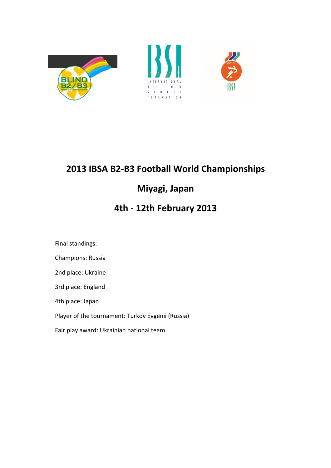





# 2013 IBSA B2-B3 Football World Championships

## Miyagi, Japan

## 4th - 12th February 2013

Final standings:

Champions: Russia

2nd place: Ukraine

3rd place: England

4th place: Japan

Player of the tournament: Turkov Evgenii (Russia)

Fair play award: Ukrainian national team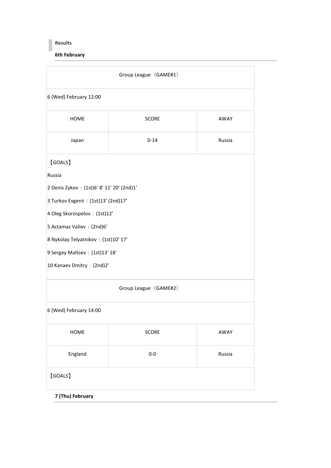#### Results

6th February

|                                            | Group League (GAME#1) |        |
|--------------------------------------------|-----------------------|--------|
| 6 (Wed) February 12:00                     |                       |        |
| <b>HOME</b>                                | <b>SCORE</b>          | AWAY   |
| Japan                                      | $0 - 14$              | Russia |
| (GOALS)                                    |                       |        |
| Russia                                     |                       |        |
| 2 Denis Zykov : (1st)6' 8' 11' 20' (2nd)1' |                       |        |
| 3 Turkov Evgenii : (1st)13' (2nd)17'       |                       |        |
| 4 Oleg Skorospelov (1st)12'                |                       |        |
| 5 Actamaz Valiev : (2nd)6'                 |                       |        |
| 8 Nykolay Telyatnikov: (1st)10' 17'        |                       |        |
| 9 Sergey Maltsev: (1st)13' 18'             |                       |        |
| 10 Kanaev Dmitry (2nd)2'                   |                       |        |
|                                            | Group League (GAME#2) |        |
| 6 (Wed) February 14:00                     |                       |        |
| <b>HOME</b>                                | <b>SCORE</b>          | AWAY   |
| England                                    | $0-0$                 | Russia |
| <b>(GOALS)</b>                             |                       |        |
| 7 (Thu) February                           |                       |        |
|                                            |                       |        |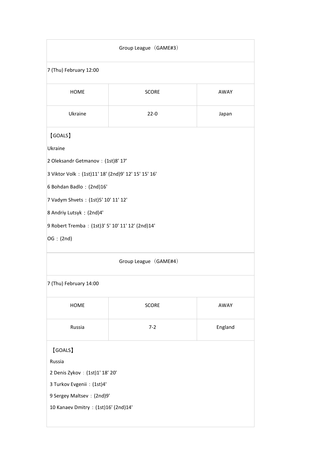|                                                     | Group League (GAME#3) |         |
|-----------------------------------------------------|-----------------------|---------|
| 7 (Thu) February 12:00                              |                       |         |
| <b>HOME</b>                                         | <b>SCORE</b>          | AWAY    |
| Ukraine                                             | $22-0$                | Japan   |
| [GOALS]                                             |                       |         |
| Ukraine                                             |                       |         |
| 2 Oleksandr Getmanov : (1st)8' 17'                  |                       |         |
| 3 Viktor Volk: (1st)11' 18' (2nd)9' 12' 15' 15' 16' |                       |         |
| 6 Bohdan Badlo: (2nd)16'                            |                       |         |
| 7 Vadym Shvets : (1st)5' 10' 11' 12'                |                       |         |
| 8 Andriy Lutsyk: (2nd)4'                            |                       |         |
| 9 Robert Tremba: (1st)3' 5' 10' 11' 12' (2nd)14'    |                       |         |
| OG: (2nd)                                           |                       |         |
|                                                     | Group League (GAME#4) |         |
| 7 (Thu) February 14:00                              |                       |         |
| HOME                                                | <b>SCORE</b>          | AWAY    |
| Russia                                              | $7 - 2$               | England |
| (GOALS)                                             |                       |         |
| Russia                                              |                       |         |
| 2 Denis Zykov : (1st)1' 18' 20'                     |                       |         |
| 3 Turkov Evgenii : (1st)4'                          |                       |         |
| 9 Sergey Maltsev : (2nd)9'                          |                       |         |
| 10 Kanaev Dmitry : (1st)16' (2nd)14'                |                       |         |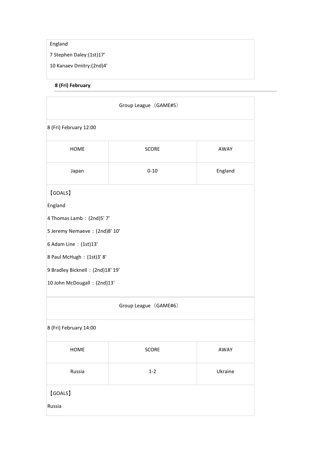### England

7 Stephen Daley:(1st)17'

10 Kanaev Dmitry:(2nd)4'

8 (Fri) February

|                                   | Group League (GAME#5) |         |
|-----------------------------------|-----------------------|---------|
| 8 (Fri) February 12:00            |                       |         |
| <b>HOME</b>                       | <b>SCORE</b>          | AWAY    |
| Japan                             | $0 - 10$              | England |
| [GOALS]                           |                       |         |
| England                           |                       |         |
| 4 Thomas Lamb: (2nd)5' 7'         |                       |         |
| 5 Jeremy Nemaeve : (2nd)8' 10'    |                       |         |
| 6 Adam Line : (1st)13'            |                       |         |
| 8 Paul McHugh: (1st)3' 8'         |                       |         |
| 9 Bradley Bicknell : (2nd)18' 19' |                       |         |
| 10 John McDougall : (2nd)13'      |                       |         |
|                                   | Group League (GAME#6) |         |
| 8 (Fri) February 14:00            |                       |         |
| HOME                              | SCORE                 | AWAY    |
| Russia                            | $1-2$                 | Ukraine |
| [GOALS]                           |                       |         |
| Russia                            |                       |         |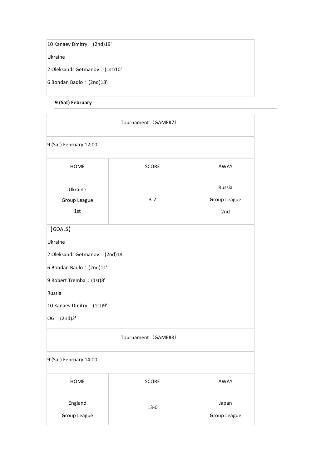10 Kanaev Dmitry:(2nd)19'

Ukraine

2 Oleksandr Getmanov:(1st)10'

6 Bohdan Badlo:(2nd)18'

### 9 (Sat) February

|                                 | Tournament (GAME#7) |              |
|---------------------------------|---------------------|--------------|
| 9 (Sat) February 12:00          |                     |              |
| <b>HOME</b>                     | <b>SCORE</b>        | AWAY         |
| Ukraine                         |                     | Russia       |
| Group League                    | $3 - 2$             | Group League |
| 1st                             |                     | 2nd          |
| [GOALS]                         |                     |              |
| Ukraine                         |                     |              |
| 2 Oleksandr Getmanov : (2nd)18' |                     |              |
| 6 Bohdan Badlo : (2nd)11'       |                     |              |
| 9 Robert Tremba: (1st)8'        |                     |              |
| Russia                          |                     |              |
| 10 Kanaev Dmitry (1st)9'        |                     |              |
| OG (2nd)2'                      |                     |              |
|                                 | Tournament (GAME#8) |              |
| 9 (Sat) February 14:00          |                     |              |
| HOME                            | <b>SCORE</b>        | AWAY         |
| England                         | $13-0$              | Japan        |
| Group League                    |                     | Group League |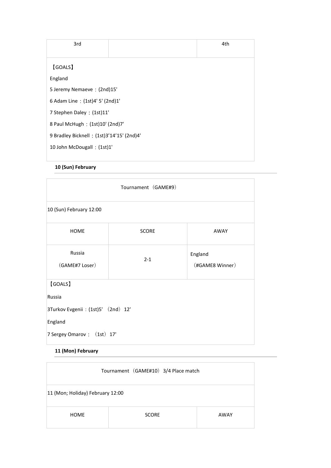| 3rd                                        |  | 4th |
|--------------------------------------------|--|-----|
|                                            |  |     |
| <b>GOALS</b>                               |  |     |
| England                                    |  |     |
| 5 Jeremy Nemaeve : (2nd)15'                |  |     |
| 6 Adam Line : (1st)4' 5' (2nd)1'           |  |     |
| 7 Stephen Daley : (1st)11'                 |  |     |
| 8 Paul McHugh : (1st)10' (2nd)7'           |  |     |
| 9 Bradley Bicknell : (1st)3'14'15' (2nd)4' |  |     |
| 10 John McDougall : (1st)1'                |  |     |
|                                            |  |     |

#### 10 (Sun) February

| Tournament (GAME#9)                                                                               |              |                            |  |
|---------------------------------------------------------------------------------------------------|--------------|----------------------------|--|
| 10 (Sun) February 12:00                                                                           |              |                            |  |
| <b>HOME</b>                                                                                       | <b>SCORE</b> | AWAY                       |  |
| Russia<br>(GAME#7 Loser)                                                                          | $2 - 1$      | England<br>(#GAME8 Winner) |  |
| (GOALS)<br>Russia<br>3Turkov Evgenii : (1st)5' (2nd) 12'<br>England<br>7 Sergey Omarov: (1st) 17' |              |                            |  |

### 11 (Mon) February

| Tournament (GAME#10) 3/4 Place match |              |      |
|--------------------------------------|--------------|------|
| 11 (Mon; Holiday) February 12:00     |              |      |
| <b>HOME</b>                          | <b>SCORE</b> | AWAY |